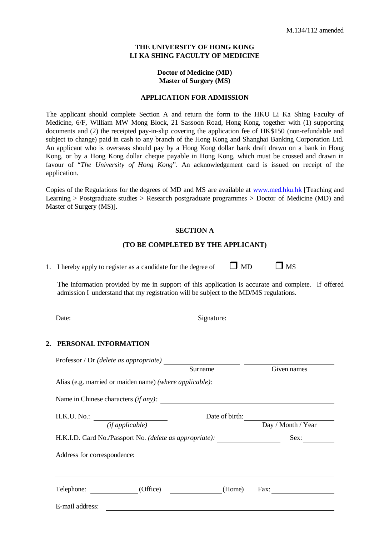### **THE UNIVERSITY OF HONG KONG LI KA SHING FACULTY OF MEDICINE**

### **Doctor of Medicine (MD) Master of Surgery (MS)**

### **APPLICATION FOR ADMISSION**

The applicant should complete Section A and return the form to the HKU Li Ka Shing Faculty of Medicine, 6/F, William MW Mong Block, 21 Sassoon Road, Hong Kong, together with (1) supporting documents and (2) the receipted pay-in-slip covering the application fee of HK\$150 (non-refundable and subject to change) paid in cash to any branch of the Hong Kong and Shanghai Banking Corporation Ltd. An applicant who is overseas should pay by a Hong Kong dollar bank draft drawn on a bank in Hong Kong, or by a Hong Kong dollar cheque payable in Hong Kong, which must be crossed and drawn in favour of "*The University of Hong Kong*". An acknowledgement card is issued on receipt of the application.

Copies of the Regulations for the degrees of MD and MS are available at [www.med.hku.hk](http://www.med.hku.hk/) [Teaching and Learning > Postgraduate studies > Research postgraduate programmes > Doctor of Medicine (MD) and Master of Surgery (MS)].

#### **SECTION A**

#### **(TO BE COMPLETED BY THE APPLICANT)**

1. I hereby apply to register as a candidate for the degree of  $\Box$  MD  $\Box$  MS

The information provided by me in support of this application is accurate and complete. If offered admission I understand that my registration will be subject to the MD/MS regulations.

Date: Signature: Signature:

### **2. PERSONAL INFORMATION**

|                                                         | Given names                                                                                                                                                        |  |  |  |  |  |  |
|---------------------------------------------------------|--------------------------------------------------------------------------------------------------------------------------------------------------------------------|--|--|--|--|--|--|
| Alias (e.g. married or maiden name) (where applicable): |                                                                                                                                                                    |  |  |  |  |  |  |
|                                                         |                                                                                                                                                                    |  |  |  |  |  |  |
|                                                         | Date of birth:                                                                                                                                                     |  |  |  |  |  |  |
|                                                         | Day / Month / Year                                                                                                                                                 |  |  |  |  |  |  |
|                                                         | Sex:                                                                                                                                                               |  |  |  |  |  |  |
|                                                         |                                                                                                                                                                    |  |  |  |  |  |  |
|                                                         |                                                                                                                                                                    |  |  |  |  |  |  |
| (Home)                                                  | Fax: $\qquad \qquad \qquad$                                                                                                                                        |  |  |  |  |  |  |
|                                                         |                                                                                                                                                                    |  |  |  |  |  |  |
|                                                         | Surname<br>Name in Chinese characters (if any):<br>H.K.I.D. Card No./Passport No. (delete as appropriate): ________________________<br>Address for correspondence: |  |  |  |  |  |  |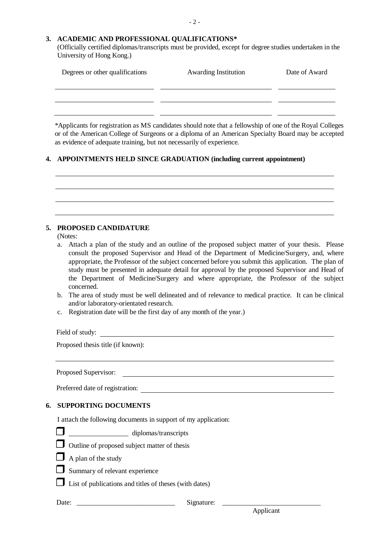# **3. ACADEMIC AND PROFESSIONAL QUALIFICATIONS\***

(Officially certified diplomas/transcripts must be provided, except for degree studies undertaken in the University of Hong Kong.)

| Degrees or other qualifications | <b>Awarding Institution</b> | Date of Award |
|---------------------------------|-----------------------------|---------------|
|                                 |                             |               |
|                                 |                             |               |

\*Applicants for registration as MS candidates should note that a fellowship of one of the Royal Colleges or of the American College of Surgeons or a diploma of an American Specialty Board may be accepted as evidence of adequate training, but not necessarily of experience.

## **4. APPOINTMENTS HELD SINCE GRADUATION (including current appointment)**

## **5. PROPOSED CANDIDATURE**

(Notes:

- a. Attach a plan of the study and an outline of the proposed subject matter of your thesis. Please consult the proposed Supervisor and Head of the Department of Medicine/Surgery, and, where appropriate, the Professor of the subject concerned before you submit this application. The plan of study must be presented in adequate detail for approval by the proposed Supervisor and Head of the Department of Medicine/Surgery and where appropriate, the Professor of the subject concerned.
- b. The area of study must be well delineated and of relevance to medical practice. It can be clinical and/or laboratory-orientated research.
- c. Registration date will be the first day of any month of the year.)

Field of study:

Proposed thesis title (if known):

Proposed Supervisor:

Preferred date of registration:

# **6. SUPPORTING DOCUMENTS**

I attach the following documents in support of my application:

 $\Box$  diplomas/transcripts





 $\Box$  Outline of proposed subject matter of thesis

- $\Box$  A plan of the study
- $\Box$  Summary of relevant experience

 $\Box$  List of publications and titles of theses (with dates)

Date: \_\_\_\_\_\_\_\_\_\_\_\_\_\_\_\_\_\_\_\_\_\_\_\_\_\_\_\_ Signature: \_\_\_\_\_\_\_\_\_\_\_\_\_\_\_\_\_\_\_\_\_\_\_\_\_\_\_\_

Applicant